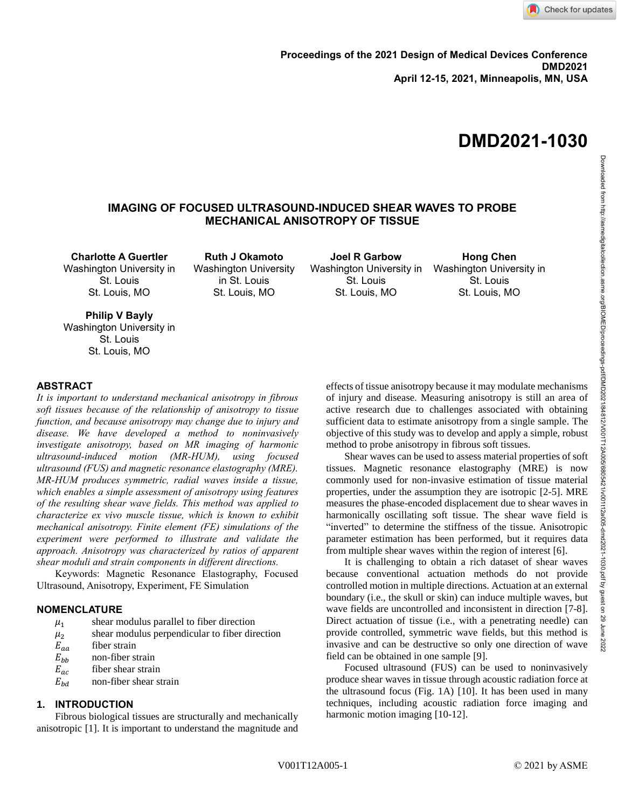# **IMAGING OF FOCUSED ULTRASOUND-INDUCED SHEAR WAVES TO PROBE MECHANICAL ANISOTROPY OF TISSUE**

**Charlotte A Guertler** Washington University in St. Louis St. Louis, MO

**Ruth J Okamoto** Washington University in St. Louis St. Louis, MO

**Joel R Garbow** Washington University in Washington University in St. Louis St. Louis, MO

**Hong Chen** St. Louis St. Louis, MO

**Philip V Bayly** Washington University in St. Louis St. Louis, MO

#### **ABSTRACT**

*It is important to understand mechanical anisotropy in fibrous soft tissues because of the relationship of anisotropy to tissue function, and because anisotropy may change due to injury and disease. We have developed a method to noninvasively investigate anisotropy, based on MR imaging of harmonic ultrasound-induced motion (MR-HUM), using focused ultrasound (FUS) and magnetic resonance elastography (MRE). MR-HUM produces symmetric, radial waves inside a tissue, which enables a simple assessment of anisotropy using features of the resulting shear wave fields. This method was applied to characterize ex vivo muscle tissue, which is known to exhibit mechanical anisotropy. Finite element (FE) simulations of the experiment were performed to illustrate and validate the approach. Anisotropy was characterized by ratios of apparent shear moduli and strain components in different directions.* 

Keywords: Magnetic Resonance Elastography, Focused Ultrasound, Anisotropy, Experiment, FE Simulation

## **NOMENCLATURE**

- $\mu_1$ shear modulus parallel to fiber direction
- $\frac{\mu_2}{E_{aa}}$ shear modulus perpendicular to fiber direction
- fiber strain
- $E_{bb}$  non-fiber strain<br>  $E_{ac}$  fiber shear strain
- 
- $\frac{E_{ac}}{E_{bd}}$  fiber shear strain<br>fiber shear st non-fiber shear strain

#### **1. INTRODUCTION**

Fibrous biological tissues are structurally and mechanically anisotropic [1]. It is important to understand the magnitude and effects of tissue anisotropy because it may modulate mechanisms of injury and disease. Measuring anisotropy is still an area of active research due to challenges associated with obtaining sufficient data to estimate anisotropy from a single sample. The objective of this study was to develop and apply a simple, robust method to probe anisotropy in fibrous soft tissues.

Shear waves can be used to assess material properties of soft tissues. Magnetic resonance elastography (MRE) is now commonly used for non-invasive estimation of tissue material properties, under the assumption they are isotropic [2-5]. MRE measures the phase-encoded displacement due to shear waves in harmonically oscillating soft tissue. The shear wave field is "inverted" to determine the stiffness of the tissue. Anisotropic parameter estimation has been performed, but it requires data from multiple shear waves within the region of interest [6].

It is challenging to obtain a rich dataset of shear waves because conventional actuation methods do not provide controlled motion in multiple directions. Actuation at an external boundary (i.e., the skull or skin) can induce multiple waves, but wave fields are uncontrolled and inconsistent in direction [7-8]. Direct actuation of tissue (i.e., with a penetrating needle) can provide controlled, symmetric wave fields, but this method is invasive and can be destructive so only one direction of wave field can be obtained in one sample [9].

Focused ultrasound (FUS) can be used to noninvasively produce shear waves in tissue through acoustic radiation force at the ultrasound focus (Fig. 1A) [10]. It has been used in many techniques, including acoustic radiation force imaging and harmonic motion imaging [10-12].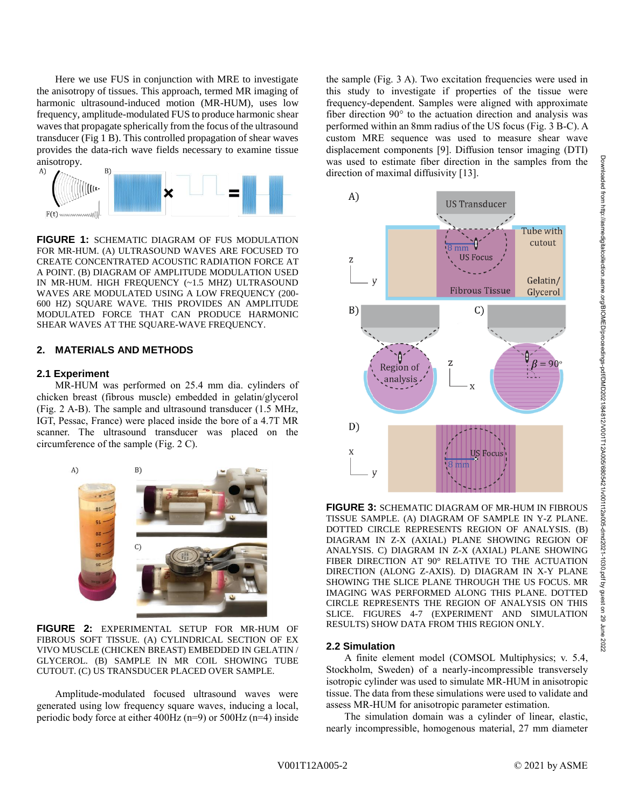Here we use FUS in conjunction with MRE to investigate the anisotropy of tissues. This approach, termed MR imaging of harmonic ultrasound-induced motion (MR-HUM), uses low frequency, amplitude-modulated FUS to produce harmonic shear waves that propagate spherically from the focus of the ultrasound transducer (Fig 1 B). This controlled propagation of shear waves provides the data-rich wave fields necessary to examine tissue anisotropy.



**FIGURE 1:** SCHEMATIC DIAGRAM OF FUS MODULATION FOR MR-HUM. (A) ULTRASOUND WAVES ARE FOCUSED TO CREATE CONCENTRATED ACOUSTIC RADIATION FORCE AT A POINT. (B) DIAGRAM OF AMPLITUDE MODULATION USED IN MR-HUM. HIGH FREQUENCY (~1.5 MHZ) ULTRASOUND WAVES ARE MODULATED USING A LOW FREQUENCY (200- 600 HZ) SQUARE WAVE. THIS PROVIDES AN AMPLITUDE MODULATED FORCE THAT CAN PRODUCE HARMONIC SHEAR WAVES AT THE SQUARE-WAVE FREQUENCY.

## **2. MATERIALS AND METHODS**

#### **2.1 Experiment**

MR-HUM was performed on 25.4 mm dia. cylinders of chicken breast (fibrous muscle) embedded in gelatin/glycerol (Fig. 2 A-B). The sample and ultrasound transducer (1.5 MHz, IGT, Pessac, France) were placed inside the bore of a 4.7T MR scanner. The ultrasound transducer was placed on the circumference of the sample (Fig. 2 C).



**FIGURE 2:** EXPERIMENTAL SETUP FOR MR-HUM OF FIBROUS SOFT TISSUE. (A) CYLINDRICAL SECTION OF EX VIVO MUSCLE (CHICKEN BREAST) EMBEDDED IN GELATIN / GLYCEROL. (B) SAMPLE IN MR COIL SHOWING TUBE CUTOUT. (C) US TRANSDUCER PLACED OVER SAMPLE.

Amplitude-modulated focused ultrasound waves were generated using low frequency square waves, inducing a local, periodic body force at either 400Hz (n=9) or 500Hz (n=4) inside

the sample (Fig. 3 A). Two excitation frequencies were used in this study to investigate if properties of the tissue were frequency-dependent. Samples were aligned with approximate fiber direction 90° to the actuation direction and analysis was performed within an 8mm radius of the US focus (Fig. 3 B-C). A custom MRE sequence was used to measure shear wave displacement components [9]. Diffusion tensor imaging (DTI) was used to estimate fiber direction in the samples from the direction of maximal diffusivity [13].



**FIGURE 3:** SCHEMATIC DIAGRAM OF MR-HUM IN FIBROUS TISSUE SAMPLE. (A) DIAGRAM OF SAMPLE IN Y-Z PLANE. DOTTED CIRCLE REPRESENTS REGION OF ANALYSIS. (B) DIAGRAM IN Z-X (AXIAL) PLANE SHOWING REGION OF ANALYSIS. C) DIAGRAM IN Z-X (AXIAL) PLANE SHOWING FIBER DIRECTION AT 90° RELATIVE TO THE ACTUATION DIRECTION (ALONG Z-AXIS). D) DIAGRAM IN X-Y PLANE SHOWING THE SLICE PLANE THROUGH THE US FOCUS. MR IMAGING WAS PERFORMED ALONG THIS PLANE. DOTTED CIRCLE REPRESENTS THE REGION OF ANALYSIS ON THIS SLICE. FIGURES 4-7 (EXPERIMENT AND SIMULATION RESULTS) SHOW DATA FROM THIS REGION ONLY.

#### **2.2 Simulation**

A finite element model (COMSOL Multiphysics; v. 5.4, Stockholm, Sweden) of a nearly-incompressible transversely isotropic cylinder was used to simulate MR-HUM in anisotropic tissue. The data from these simulations were used to validate and assess MR-HUM for anisotropic parameter estimation.

The simulation domain was a cylinder of linear, elastic, nearly incompressible, homogenous material, 27 mm diameter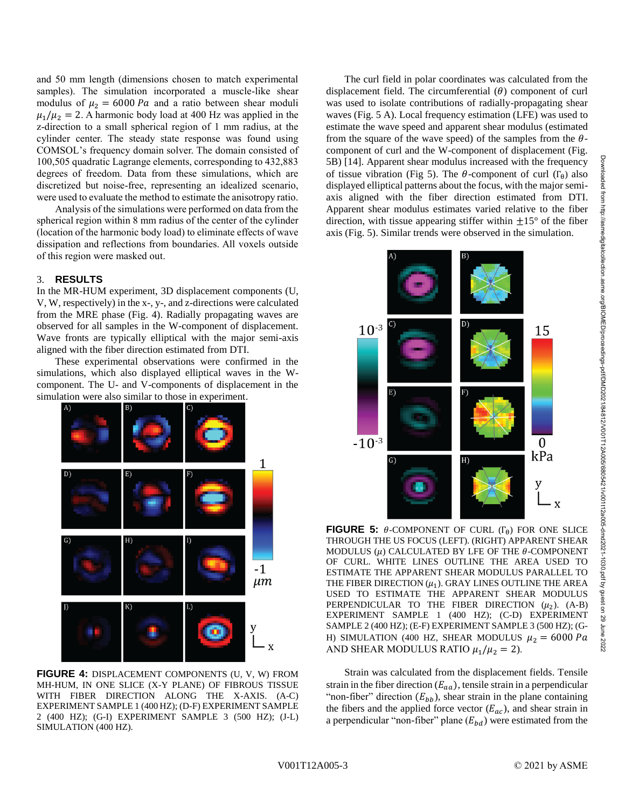and 50 mm length (dimensions chosen to match experimental samples). The simulation incorporated a muscle-like shear modulus of  $\mu_2 = 6000 Pa$  and a ratio between shear moduli  $\mu_1/\mu_2 = 2$ . A harmonic body load at 400 Hz was applied in the z-direction to a small spherical region of 1 mm radius, at the cylinder center. The steady state response was found using COMSOL's frequency domain solver. The domain consisted of 100,505 quadratic Lagrange elements, corresponding to 432,883 degrees of freedom. Data from these simulations, which are discretized but noise-free, representing an idealized scenario, were used to evaluate the method to estimate the anisotropy ratio.

Analysis of the simulations were performed on data from the spherical region within 8 mm radius of the center of the cylinder (location of the harmonic body load) to eliminate effects of wave dissipation and reflections from boundaries. All voxels outside of this region were masked out.

## 3. **RESULTS**

In the MR-HUM experiment, 3D displacement components (U, V, W, respectively) in the x-, y-, and z-directions were calculated from the MRE phase (Fig. 4). Radially propagating waves are observed for all samples in the W-component of displacement. Wave fronts are typically elliptical with the major semi-axis aligned with the fiber direction estimated from DTI.

These experimental observations were confirmed in the simulations, which also displayed elliptical waves in the Wcomponent. The U- and V-components of displacement in the simulation were also similar to those in experiment.



**FIGURE 4:** DISPLACEMENT COMPONENTS (U, V, W) FROM MH-HUM, IN ONE SLICE (X-Y PLANE) OF FIBROUS TISSUE WITH FIBER DIRECTION ALONG THE X-AXIS. (A-C) EXPERIMENT SAMPLE 1 (400 HZ); (D-F) EXPERIMENT SAMPLE 2 (400 HZ); (G-I) EXPERIMENT SAMPLE 3 (500 HZ); (J-L) SIMULATION (400 HZ).

The curl field in polar coordinates was calculated from the displacement field. The circumferential  $(\theta)$  component of curl was used to isolate contributions of radially-propagating shear waves (Fig. 5 A). Local frequency estimation (LFE) was used to estimate the wave speed and apparent shear modulus (estimated from the square of the wave speed) of the samples from the  $\theta$ component of curl and the W-component of displacement (Fig. 5B) [14]. Apparent shear modulus increased with the frequency of tissue vibration (Fig 5). The  $\theta$ -component of curl (Γ<sub>θ</sub>) also displayed elliptical patterns about the focus, with the major semiaxis aligned with the fiber direction estimated from DTI. Apparent shear modulus estimates varied relative to the fiber direction, with tissue appearing stiffer within  $\pm 15^{\circ}$  of the fiber axis (Fig. 5). Similar trends were observed in the simulation.



**FIGURE 5:**  $\theta$ -COMPONENT OF CURL ( $\Gamma_{\theta}$ ) FOR ONE SLICE THROUGH THE US FOCUS (LEFT). (RIGHT) APPARENT SHEAR MODULUS  $(\mu)$  CALCULATED BY LFE OF THE  $\theta$ -COMPONENT OF CURL. WHITE LINES OUTLINE THE AREA USED TO ESTIMATE THE APPARENT SHEAR MODULUS PARALLEL TO THE FIBER DIRECTION  $(\mu_1)$ . GRAY LINES OUTLINE THE AREA USED TO ESTIMATE THE APPARENT SHEAR MODULUS PERPENDICULAR TO THE FIBER DIRECTION  $(\mu_2)$ . (A-B) EXPERIMENT SAMPLE 1 (400 HZ); (C-D) EXPERIMENT SAMPLE 2 (400 HZ); (E-F) EXPERIMENT SAMPLE 3 (500 HZ); (G-H) SIMULATION (400 HZ, SHEAR MODULUS  $\mu_2 = 6000 Pa$ AND SHEAR MODULUS RATIO  $\mu_1/\mu_2 = 2$ ).

Strain was calculated from the displacement fields. Tensile strain in the fiber direction  $(E_{aa})$ , tensile strain in a perpendicular "non-fiber" direction  $(E_{bb})$ , shear strain in the plane containing the fibers and the applied force vector  $(E_{ac})$ , and shear strain in a perpendicular "non-fiber" plane  $(E_{bd})$  were estimated from the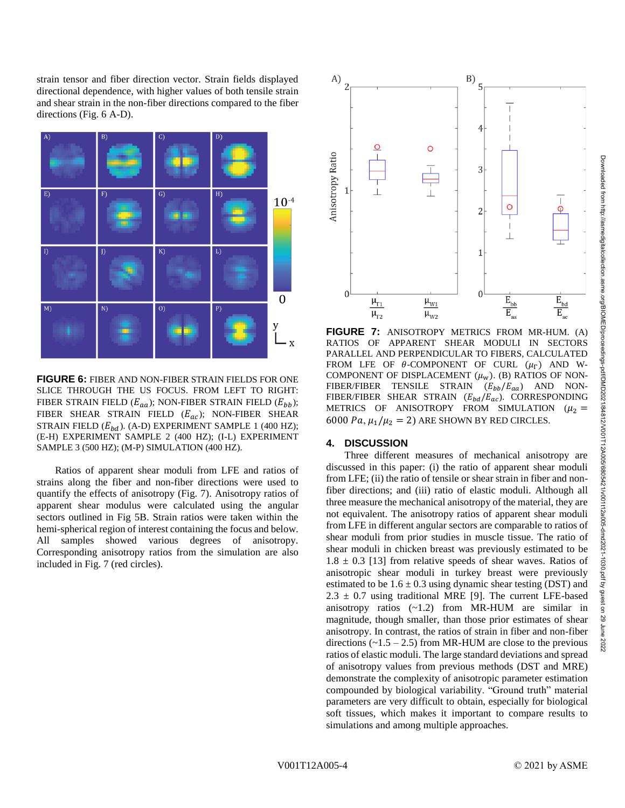strain tensor and fiber direction vector. Strain fields displayed directional dependence, with higher values of both tensile strain and shear strain in the non-fiber directions compared to the fiber directions (Fig. 6 A-D).



**FIGURE 6:** FIBER AND NON-FIBER STRAIN FIELDS FOR ONE SLICE THROUGH THE US FOCUS. FROM LEFT TO RIGHT: FIBER STRAIN FIELD  $(E_{aa})$ ; NON-FIBER STRAIN FIELD  $(E_{bb})$ ; FIBER SHEAR STRAIN FIELD  $(E_{ac})$ ; NON-FIBER SHEAR STRAIN FIELD  $(E_{bd})$ . (A-D) EXPERIMENT SAMPLE 1 (400 HZ); (E-H) EXPERIMENT SAMPLE 2 (400 HZ); (I-L) EXPERIMENT SAMPLE 3 (500 HZ); (M-P) SIMULATION (400 HZ).

Ratios of apparent shear moduli from LFE and ratios of strains along the fiber and non-fiber directions were used to quantify the effects of anisotropy (Fig. 7). Anisotropy ratios of apparent shear modulus were calculated using the angular sectors outlined in Fig 5B. Strain ratios were taken within the hemi-spherical region of interest containing the focus and below. All samples showed various degrees of anisotropy. Corresponding anisotropy ratios from the simulation are also included in Fig. 7 (red circles).



**FIGURE 7:** ANISOTROPY METRICS FROM MR-HUM. (A) RATIOS OF APPARENT SHEAR MODULI IN SECTORS PARALLEL AND PERPENDICULAR TO FIBERS, CALCULATED FROM LFE OF  $\theta$ -COMPONENT OF CURL  $(\mu_{\Gamma})$  AND W-COMPONENT OF DISPLACEMENT  $(\mu_w)$ . (B) RATIOS OF NON-FIBER/FIBER TENSILE STRAIN  $(E_{bb}/E_{aa})$  AND NON-FIBER/FIBER SHEAR STRAIN  $(E_{bd}/E_{ac})$ . CORRESPONDING METRICS OF ANISOTROPY FROM SIMULATION  $(\mu_2 =$ 6000 Pa,  $\mu_1/\mu_2 = 2$ ) ARE SHOWN BY RED CIRCLES.

#### **4. DISCUSSION**

Three different measures of mechanical anisotropy are discussed in this paper: (i) the ratio of apparent shear moduli from LFE; (ii) the ratio of tensile or shear strain in fiber and nonfiber directions; and (iii) ratio of elastic moduli. Although all three measure the mechanical anisotropy of the material, they are not equivalent. The anisotropy ratios of apparent shear moduli from LFE in different angular sectors are comparable to ratios of shear moduli from prior studies in muscle tissue. The ratio of shear moduli in chicken breast was previously estimated to be  $1.8 \pm 0.3$  [13] from relative speeds of shear waves. Ratios of anisotropic shear moduli in turkey breast were previously estimated to be  $1.6 \pm 0.3$  using dynamic shear testing (DST) and  $2.3 \pm 0.7$  using traditional MRE [9]. The current LFE-based anisotropy ratios (~1.2) from MR-HUM are similar in magnitude, though smaller, than those prior estimates of shear anisotropy. In contrast, the ratios of strain in fiber and non-fiber directions  $(-1.5 - 2.5)$  from MR-HUM are close to the previous ratios of elastic moduli. The large standard deviations and spread of anisotropy values from previous methods (DST and MRE) demonstrate the complexity of anisotropic parameter estimation compounded by biological variability. "Ground truth" material parameters are very difficult to obtain, especially for biological soft tissues, which makes it important to compare results to simulations and among multiple approaches.